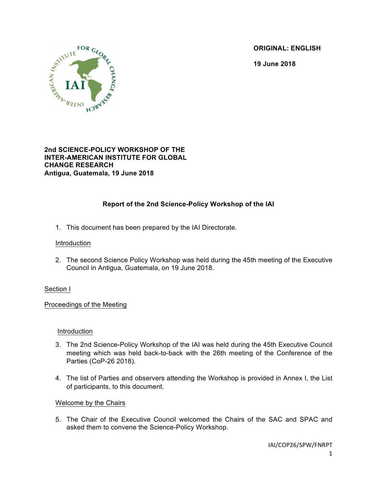**ORIGINAL: ENGLISH**

**19 June 2018**



## **2nd SCIENCE-POLICY WORKSHOP OF THE INTER-AMERICAN INSTITUTE FOR GLOBAL CHANGE RESEARCH Antigua, Guatemala, 19 June 2018**

# **Report of the 2nd Science-Policy Workshop of the IAI**

1. This document has been prepared by the IAI Directorate.

## Introduction

2. The second Science Policy Workshop was held during the 45th meeting of the Executive Council in Antigua, Guatemala, on 19 June 2018.

## Section I

Proceedings of the Meeting

## Introduction

- 3. The 2nd Science-Policy Workshop of the IAI was held during the 45th Executive Council meeting which was held back-to-back with the 26th meeting of the Conference of the Parties (CoP-26 2018).
- 4. The list of Parties and observers attending the Workshop is provided in Annex I, the List of participants, to this document.

# Welcome by the Chairs

5. The Chair of the Executive Council welcomed the Chairs of the SAC and SPAC and asked them to convene the Science-Policy Workshop.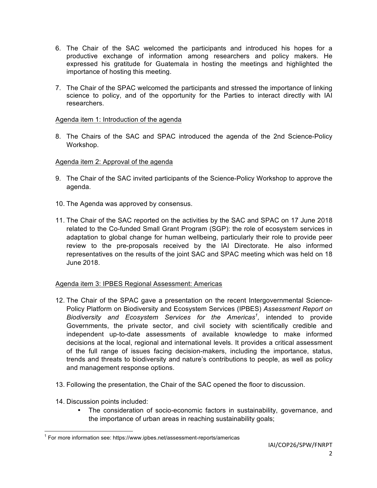- 6. The Chair of the SAC welcomed the participants and introduced his hopes for a productive exchange of information among researchers and policy makers. He expressed his gratitude for Guatemala in hosting the meetings and highlighted the importance of hosting this meeting.
- 7. The Chair of the SPAC welcomed the participants and stressed the importance of linking science to policy, and of the opportunity for the Parties to interact directly with IAI researchers.

## Agenda item 1: Introduction of the agenda

8. The Chairs of the SAC and SPAC introduced the agenda of the 2nd Science-Policy Workshop.

#### Agenda item 2: Approval of the agenda

- 9. The Chair of the SAC invited participants of the Science-Policy Workshop to approve the agenda.
- 10. The Agenda was approved by consensus.
- 11. The Chair of the SAC reported on the activities by the SAC and SPAC on 17 June 2018 related to the Co-funded Small Grant Program (SGP): the role of ecosystem services in adaptation to global change for human wellbeing, particularly their role to provide peer review to the pre-proposals received by the IAI Directorate. He also informed representatives on the results of the joint SAC and SPAC meeting which was held on 18 June 2018.

## Agenda item 3: IPBES Regional Assessment: Americas

- 12. The Chair of the SPAC gave a presentation on the recent Intergovernmental Science-Policy Platform on Biodiversity and Ecosystem Services (IPBES) *Assessment Report on*  Biodiversity and Ecosystem Services for the Americas<sup>1</sup>, intended to provide Governments, the private sector, and civil society with scientifically credible and independent up-to-date assessments of available knowledge to make informed decisions at the local, regional and international levels. It provides a critical assessment of the full range of issues facing decision-makers, including the importance, status, trends and threats to biodiversity and nature's contributions to people, as well as policy and management response options.
- 13. Following the presentation, the Chair of the SAC opened the floor to discussion.
- 14. Discussion points included:
	- The consideration of socio-economic factors in sustainability, governance, and the importance of urban areas in reaching sustainability goals;

 $1$  For more information see: https://www.ipbes.net/assessment-reports/americas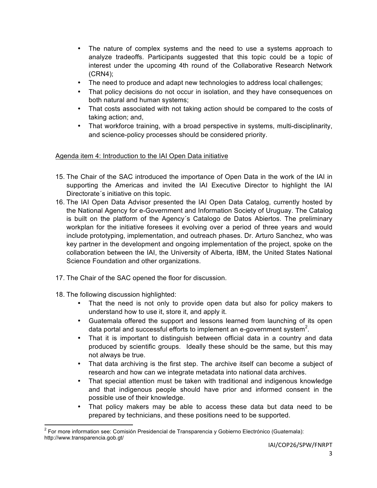- The nature of complex systems and the need to use a systems approach to analyze tradeoffs. Participants suggested that this topic could be a topic of interest under the upcoming 4th round of the Collaborative Research Network (CRN4);
- The need to produce and adapt new technologies to address local challenges;
- That policy decisions do not occur in isolation, and they have consequences on both natural and human systems;
- That costs associated with not taking action should be compared to the costs of taking action; and,
- That workforce training, with a broad perspective in systems, multi-disciplinarity, and science-policy processes should be considered priority.

# Agenda item 4: Introduction to the IAI Open Data initiative

- 15. The Chair of the SAC introduced the importance of Open Data in the work of the IAI in supporting the Americas and invited the IAI Executive Director to highlight the IAI Directorate´s initiative on this topic.
- 16. The IAI Open Data Advisor presented the IAI Open Data Catalog, currently hosted by the National Agency for e-Government and Information Society of Uruguay. The Catalog is built on the platform of the Agency´s Catalogo de Datos Abiertos. The preliminary workplan for the initiative foresees it evolving over a period of three years and would include prototyping, implementation, and outreach phases. Dr. Arturo Sanchez, who was key partner in the development and ongoing implementation of the project, spoke on the collaboration between the IAI, the University of Alberta, IBM, the United States National Science Foundation and other organizations.
- 17. The Chair of the SAC opened the floor for discussion.
- 18. The following discussion highlighted:
	- That the need is not only to provide open data but also for policy makers to understand how to use it, store it, and apply it.
	- Guatemala offered the support and lessons learned from launching of its open data portal and successful efforts to implement an e-government system $^2$ .
	- That it is important to distinguish between official data in a country and data produced by scientific groups. Ideally these should be the same, but this may not always be true.
	- That data archiving is the first step. The archive itself can become a subject of research and how can we integrate metadata into national data archives.
	- That special attention must be taken with traditional and indigenous knowledge and that indigenous people should have prior and informed consent in the possible use of their knowledge.
	- That policy makers may be able to access these data but data need to be prepared by technicians, and these positions need to be supported.

 $2$  For more information see: Comisión Presidencial de Transparencia y Gobierno Electrónico (Guatemala): http://www.transparencia.gob.gt/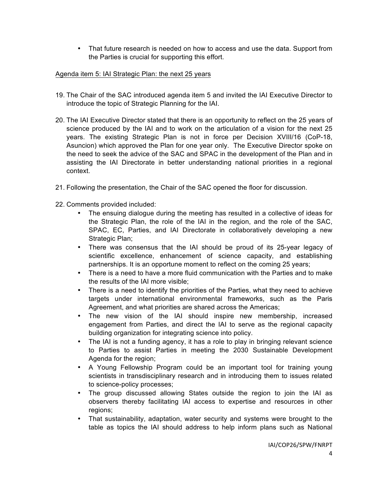• That future research is needed on how to access and use the data. Support from the Parties is crucial for supporting this effort.

# Agenda item 5: IAI Strategic Plan: the next 25 years

- 19. The Chair of the SAC introduced agenda item 5 and invited the IAI Executive Director to introduce the topic of Strategic Planning for the IAI.
- 20. The IAI Executive Director stated that there is an opportunity to reflect on the 25 years of science produced by the IAI and to work on the articulation of a vision for the next 25 years. The existing Strategic Plan is not in force per Decision XVIII/16 (CoP-18, Asuncion) which approved the Plan for one year only. The Executive Director spoke on the need to seek the advice of the SAC and SPAC in the development of the Plan and in assisting the IAI Directorate in better understanding national priorities in a regional context.
- 21. Following the presentation, the Chair of the SAC opened the floor for discussion.
- 22. Comments provided included:
	- The ensuing dialogue during the meeting has resulted in a collective of ideas for the Strategic Plan, the role of the IAI in the region, and the role of the SAC, SPAC, EC, Parties, and IAI Directorate in collaboratively developing a new Strategic Plan;
	- There was consensus that the IAI should be proud of its 25-year legacy of scientific excellence, enhancement of science capacity, and establishing partnerships. It is an opportune moment to reflect on the coming 25 years;
	- There is a need to have a more fluid communication with the Parties and to make the results of the IAI more visible;
	- There is a need to identify the priorities of the Parties, what they need to achieve targets under international environmental frameworks, such as the Paris Agreement, and what priorities are shared across the Americas;
	- The new vision of the IAI should inspire new membership, increased engagement from Parties, and direct the IAI to serve as the regional capacity building organization for integrating science into policy.
	- The IAI is not a funding agency, it has a role to play in bringing relevant science to Parties to assist Parties in meeting the 2030 Sustainable Development Agenda for the region;
	- A Young Fellowship Program could be an important tool for training young scientists in transdisciplinary research and in introducing them to issues related to science-policy processes;
	- The group discussed allowing States outside the region to join the IAI as observers thereby facilitating IAI access to expertise and resources in other regions;
	- That sustainability, adaptation, water security and systems were brought to the table as topics the IAI should address to help inform plans such as National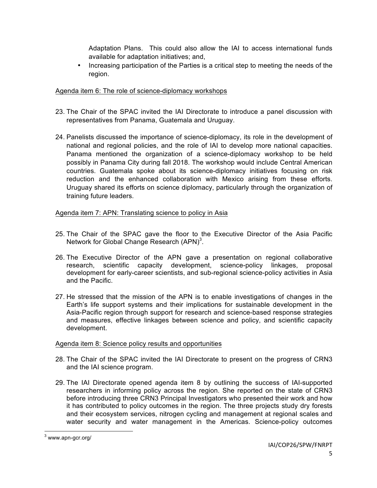Adaptation Plans. This could also allow the IAI to access international funds available for adaptation initiatives; and,

• Increasing participation of the Parties is a critical step to meeting the needs of the region.

# Agenda item 6: The role of science-diplomacy workshops

- 23. The Chair of the SPAC invited the IAI Directorate to introduce a panel discussion with representatives from Panama, Guatemala and Uruguay.
- 24. Panelists discussed the importance of science-diplomacy, its role in the development of national and regional policies, and the role of IAI to develop more national capacities. Panama mentioned the organization of a science-diplomacy workshop to be held possibly in Panama City during fall 2018. The workshop would include Central American countries. Guatemala spoke about its science-diplomacy initiatives focusing on risk reduction and the enhanced collaboration with Mexico arising from these efforts. Uruguay shared its efforts on science diplomacy, particularly through the organization of training future leaders.

## Agenda item 7: APN: Translating science to policy in Asia

- 25. The Chair of the SPAC gave the floor to the Executive Director of the Asia Pacific Network for Global Change Research  $(APN)^3$ .
- 26. The Executive Director of the APN gave a presentation on regional collaborative research, scientific capacity development, science-policy linkages, proposal development for early-career scientists, and sub-regional science-policy activities in Asia and the Pacific.
- 27. He stressed that the mission of the APN is to enable investigations of changes in the Earth's life support systems and their implications for sustainable development in the Asia-Pacific region through support for research and science-based response strategies and measures, effective linkages between science and policy, and scientific capacity development.

## Agenda item 8: Science policy results and opportunities

- 28. The Chair of the SPAC invited the IAI Directorate to present on the progress of CRN3 and the IAI science program.
- 29. The IAI Directorate opened agenda item 8 by outlining the success of IAI-supported researchers in informing policy across the region. She reported on the state of CRN3 before introducing three CRN3 Principal Investigators who presented their work and how it has contributed to policy outcomes in the region. The three projects study dry forests and their ecosystem services, nitrogen cycling and management at regional scales and water security and water management in the Americas. Science-policy outcomes

 $3$  www.apn-gcr.org/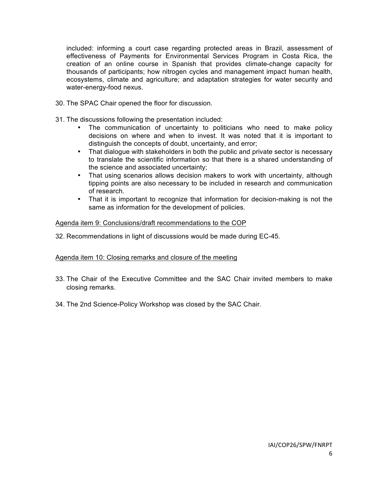included: informing a court case regarding protected areas in Brazil, assessment of effectiveness of Payments for Environmental Services Program in Costa Rica, the creation of an online course in Spanish that provides climate-change capacity for thousands of participants; how nitrogen cycles and management impact human health, ecosystems, climate and agriculture; and adaptation strategies for water security and water-energy-food nexus.

- 30. The SPAC Chair opened the floor for discussion.
- 31. The discussions following the presentation included:
	- The communication of uncertainty to politicians who need to make policy decisions on where and when to invest. It was noted that it is important to distinguish the concepts of doubt, uncertainty, and error;
	- That dialogue with stakeholders in both the public and private sector is necessary to translate the scientific information so that there is a shared understanding of the science and associated uncertainty;
	- That using scenarios allows decision makers to work with uncertainty, although tipping points are also necessary to be included in research and communication of research.
	- That it is important to recognize that information for decision-making is not the same as information for the development of policies.

#### Agenda item 9: Conclusions/draft recommendations to the COP

32. Recommendations in light of discussions would be made during EC-45.

## Agenda item 10: Closing remarks and closure of the meeting

- 33. The Chair of the Executive Committee and the SAC Chair invited members to make closing remarks.
- 34. The 2nd Science-Policy Workshop was closed by the SAC Chair.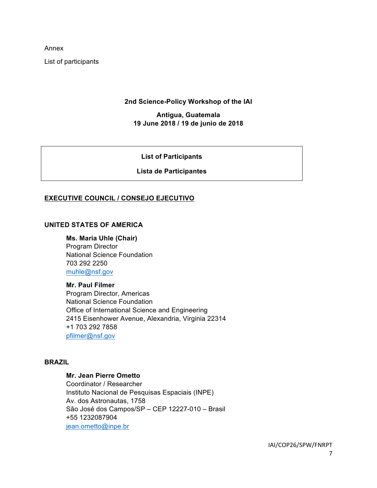Annex

List of participants

## **2nd Science-Policy Workshop of the IAI**

## **Antigua, Guatemala 19 June 2018 / 19 de junio de 2018**

#### **List of Participants**

## **Lista de Participantes**

## **EXECUTIVE COUNCIL / CONSEJO EJECUTIVO**

## **UNITED STATES OF AMERICA**

#### **Ms. Maria Uhle (Chair)**

Program Director National Science Foundation 703 292 2250 muhle@nsf.gov

#### **Mr. Paul Filmer**

Program Director, Americas National Science Foundation Office of International Science and Engineering 2415 Eisenhower Avenue, Alexandria, Virginia 22314 +1 703 292 7858 pfilmer@nsf.gov

#### **BRAZIL**

## **Mr. Jean Pierre Ometto**

Coordinator / Researcher Instituto Nacional de Pesquisas Espaciais (INPE) Av. dos Astronautas, 1758 São José dos Campos/SP – CEP 12227-010 – Brasil +55 1232087904 jean.ometto@inpe.br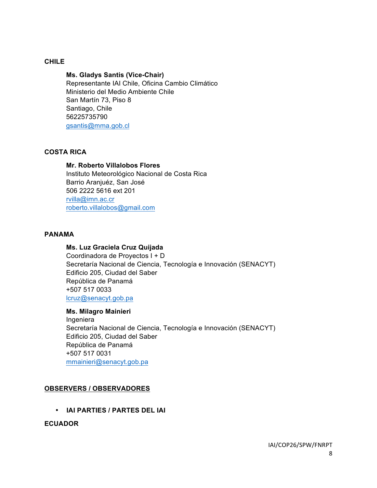## **CHILE**

### **Ms. Gladys Santis (Vice-Chair)**

Representante IAI Chile, Oficina Cambio Climático Ministerio del Medio Ambiente Chile San Martín 73, Piso 8 Santiago, Chile 56225735790 gsantis@mma.gob.cl

## **COSTA RICA**

#### **Mr. Roberto Villalobos Flores**

Instituto Meteorológico Nacional de Costa Rica Barrio Aranjuéz, San José 506 2222 5616 ext 201 rvilla@imn.ac.cr roberto.villalobos@gmail.com

## **PANAMA**

#### **Ms. Luz Graciela Cruz Quijada**

Coordinadora de Proyectos I + D Secretaría Nacional de Ciencia, Tecnología e Innovación (SENACYT) Edificio 205, Ciudad del Saber República de Panamá +507 517 0033 lcruz@senacyt.gob.pa

#### **Ms. Milagro Mainieri**

Ingeniera Secretaría Nacional de Ciencia, Tecnología e Innovación (SENACYT) Edificio 205, Ciudad del Saber República de Panamá +507 517 0031 mmainieri@senacyt.gob.pa

## **OBSERVERS / OBSERVADORES**

• **IAI PARTIES / PARTES DEL IAI**

### **ECUADOR**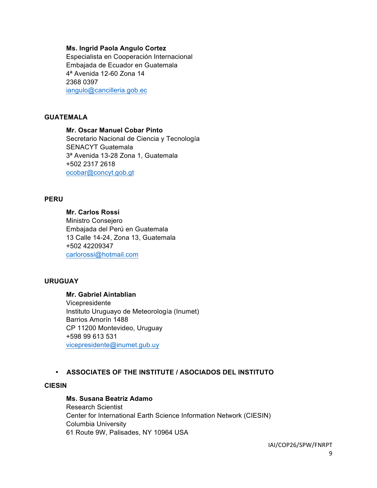#### **Ms. Ingrid Paola Angulo Cortez**

Especialista en Cooperación Internacional Embajada de Ecuador en Guatemala 4ª Avenida 12-60 Zona 14 2368 0397 iangulo@cancilleria.gob.ec

#### **GUATEMALA**

**Mr. Oscar Manuel Cobar Pinto** Secretario Nacional de Ciencia y Tecnología SENACYT Guatemala 3ª Avenida 13-28 Zona 1, Guatemala +502 2317 2618 ocobar@concyt.gob.gt

#### **PERU**

**Mr. Carlos Rossi** Ministro Consejero Embajada del Perú en Guatemala 13 Calle 14-24, Zona 13, Guatemala +502 42209347 carlorossi@hotmail.com

## **URUGUAY**

**Mr. Gabriel Aintablian** Vicepresidente Instituto Uruguayo de Meteorología (Inumet) Barrios Amorín 1488 CP 11200 Montevideo, Uruguay +598 99 613 531 vicepresidente@inumet.gub.uy

#### • **ASSOCIATES OF THE INSTITUTE / ASOCIADOS DEL INSTITUTO**

#### **CIESIN**

#### **Ms. Susana Beatriz Adamo**

Research Scientist Center for International Earth Science Information Network (CIESIN) Columbia University 61 Route 9W, Palisades, NY 10964 USA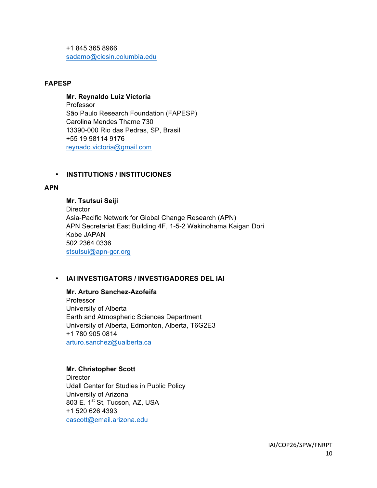+1 845 365 8966 sadamo@ciesin.columbia.edu

## **FAPESP**

## **Mr. Reynaldo Luiz Victoria**

Professor São Paulo Research Foundation (FAPESP) Carolina Mendes Thame 730 13390-000 Rio das Pedras, SP, Brasil +55 19 98114 9176 reynado.victoria@gmail.com

## • **INSTITUTIONS / INSTITUCIONES**

## **APN**

**Mr. Tsutsui Seiji Director** Asia-Pacific Network for Global Change Research (APN) APN Secretariat East Building 4F, 1-5-2 Wakinohama Kaigan Dori Kobe JAPAN 502 2364 0336 stsutsui@apn-gcr.org

## • **IAI INVESTIGATORS / INVESTIGADORES DEL IAI**

**Mr. Arturo Sanchez-Azofeifa** Professor University of Alberta Earth and Atmospheric Sciences Department University of Alberta, Edmonton, Alberta, T6G2E3 +1 780 905 0814 arturo.sanchez@ualberta.ca

## **Mr. Christopher Scott**

**Director** Udall Center for Studies in Public Policy University of Arizona 803 E. 1<sup>st</sup> St, Tucson, AZ, USA +1 520 626 4393 cascott@email.arizona.edu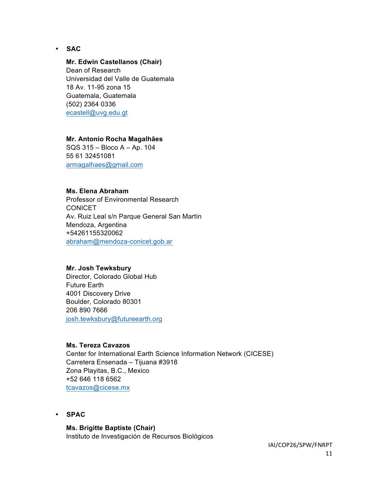• **SAC**

## **Mr. Edwin Castellanos (Chair)**

Dean of Research Universidad del Valle de Guatemala 18 Av. 11-95 zona 15 Guatemala, Guatemala (502) 2364 0336 ecastell@uvg.edu.gt

#### **Mr. Antonio Rocha Magalhães**

SQS 315 – Bloco A – Ap. 104 55 61 32451081 armagalhaes@gmail.com

## **Ms. Elena Abraham**

Professor of Environmental Research CONICET Av. Ruiz Leal s/n Parque General San Martín Mendoza, Argentina +54261155320062 abraham@mendoza-conicet.gob.ar

#### **Mr. Josh Tewksbury**

Director, Colorado Global Hub Future Earth 4001 Discovery Drive Boulder, Colorado 80301 206 890 7666 josh.tewksbury@futureearth.org

#### **Ms. Tereza Cavazos**

Center for International Earth Science Information Network (CICESE) Carretera Ensenada – Tijuana #3918 Zona Playitas, B.C., Mexico +52 646 118 6562 tcavazos@cicese.mx

• **SPAC**

# **Ms. Brigitte Baptiste (Chair)**

Instituto de Investigación de Recursos Biológicos